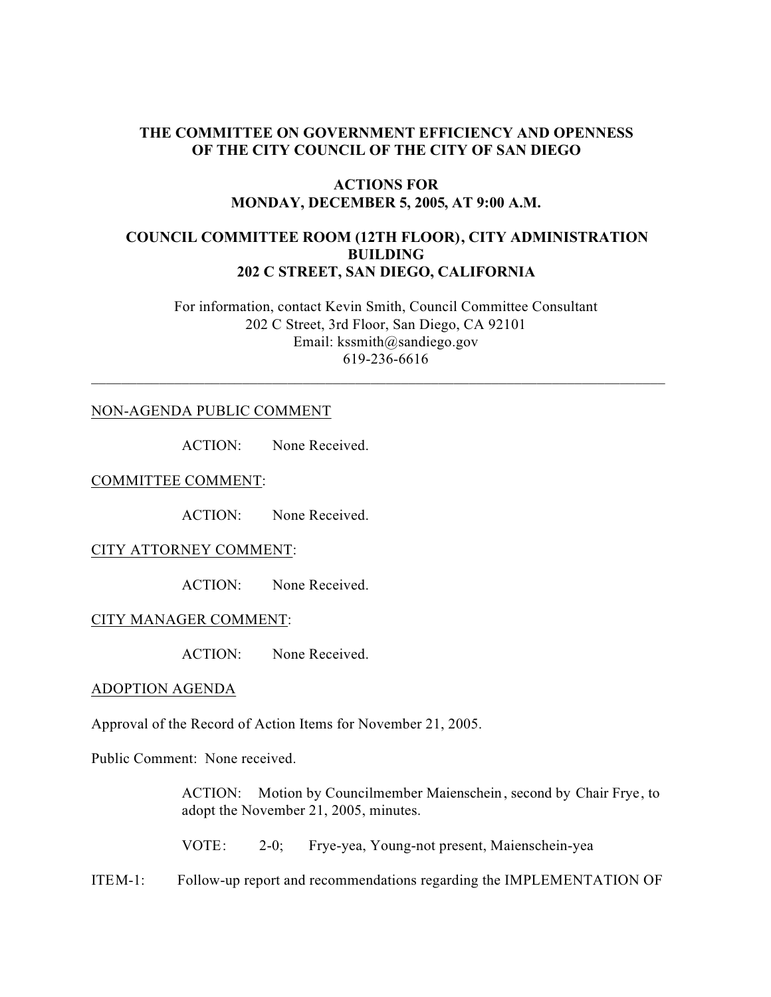## **THE COMMITTEE ON GOVERNMENT EFFICIENCY AND OPENNESS OF THE CITY COUNCIL OF THE CITY OF SAN DIEGO**

### **ACTIONS FOR MONDAY, DECEMBER 5, 2005, AT 9:00 A.M.**

## **COUNCIL COMMITTEE ROOM (12TH FLOOR), CITY ADMINISTRATION BUILDING 202 C STREET, SAN DIEGO, CALIFORNIA**

 For information, contact Kevin Smith, Council Committee Consultant 202 C Street, 3rd Floor, San Diego, CA 92101 Email: kssmith@sandiego.gov 619-236-6616

 $\_$  , and the set of the set of the set of the set of the set of the set of the set of the set of the set of the set of the set of the set of the set of the set of the set of the set of the set of the set of the set of th

### NON-AGENDA PUBLIC COMMENT

ACTION: None Received.

COMMITTEE COMMENT:

ACTION: None Received.

#### CITY ATTORNEY COMMENT:

ACTION: None Received.

#### CITY MANAGER COMMENT:

ACTION: None Received.

### ADOPTION AGENDA

Approval of the Record of Action Items for November 21, 2005.

Public Comment: None received.

ACTION: Motion by Councilmember Maienschein , second by Chair Frye, to adopt the November 21, 2005, minutes.

VOTE: 2-0; Frye-yea, Young-not present, Maienschein-yea

ITEM-1: Follow-up report and recommendations regarding the IMPLEMENTATION OF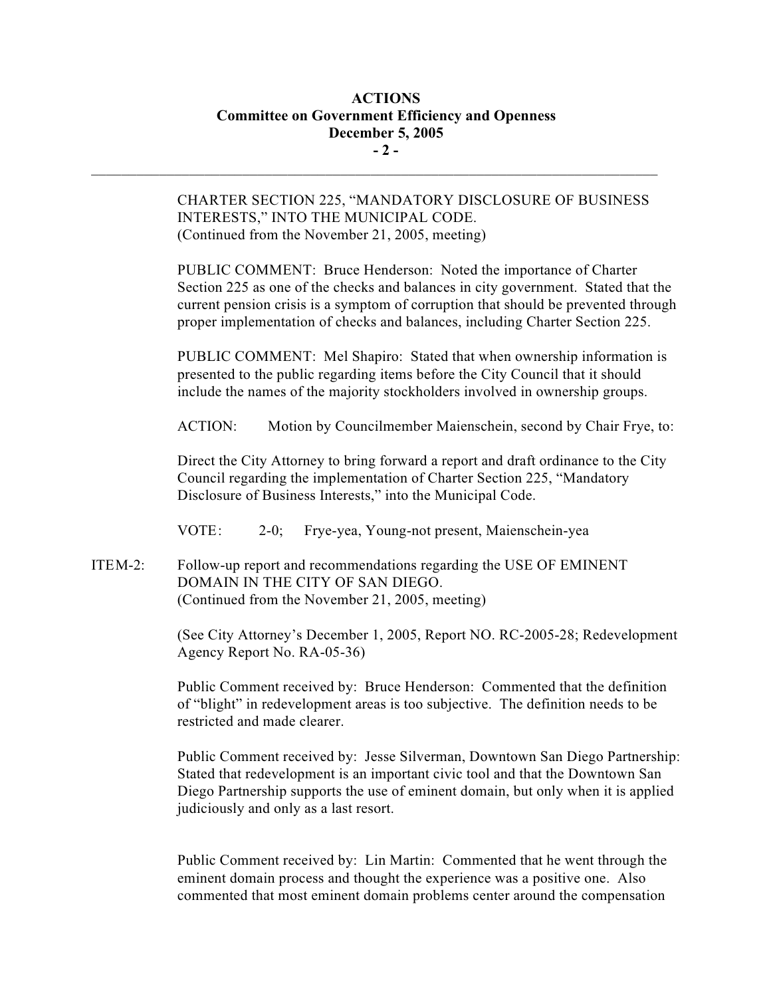# **ACTIONS Committee on Government Efficiency and Openness December 5, 2005 - 2 -**

 $\mathcal{L}_\text{max}$ 

CHARTER SECTION 225, "MANDATORY DISCLOSURE OF BUSINESS INTERESTS," INTO THE MUNICIPAL CODE. (Continued from the November 21, 2005, meeting)

PUBLIC COMMENT: Bruce Henderson: Noted the importance of Charter Section 225 as one of the checks and balances in city government. Stated that the current pension crisis is a symptom of corruption that should be prevented through proper implementation of checks and balances, including Charter Section 225.

PUBLIC COMMENT: Mel Shapiro: Stated that when ownership information is presented to the public regarding items before the City Council that it should include the names of the majority stockholders involved in ownership groups.

ACTION: Motion by Councilmember Maienschein, second by Chair Frye, to:

Direct the City Attorney to bring forward a report and draft ordinance to the City Council regarding the implementation of Charter Section 225, "Mandatory Disclosure of Business Interests," into the Municipal Code.

VOTE: 2-0; Frye-yea, Young-not present, Maienschein-yea

ITEM-2: Follow-up report and recommendations regarding the USE OF EMINENT DOMAIN IN THE CITY OF SAN DIEGO. (Continued from the November 21, 2005, meeting)

> (See City Attorney's December 1, 2005, Report NO. RC-2005-28; Redevelopment Agency Report No. RA-05-36)

Public Comment received by: Bruce Henderson: Commented that the definition of "blight" in redevelopment areas is too subjective. The definition needs to be restricted and made clearer.

Public Comment received by: Jesse Silverman, Downtown San Diego Partnership: Stated that redevelopment is an important civic tool and that the Downtown San Diego Partnership supports the use of eminent domain, but only when it is applied judiciously and only as a last resort.

Public Comment received by: Lin Martin: Commented that he went through the eminent domain process and thought the experience was a positive one. Also commented that most eminent domain problems center around the compensation